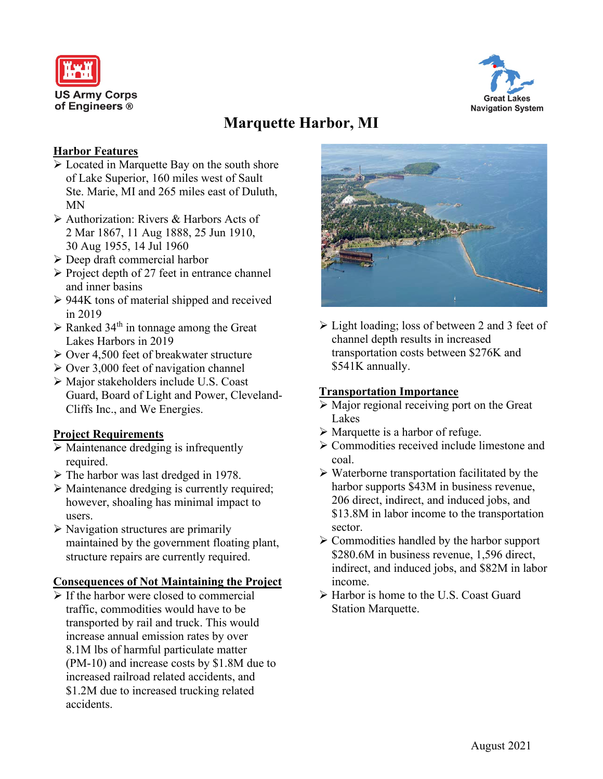



# **Marquette Harbor, MI**

#### **Harbor Features**

- Located in Marquette Bay on the south shore of Lake Superior, 160 miles west of Sault Ste. Marie, MI and 265 miles east of Duluth, MN
- Authorization: Rivers & Harbors Acts of 2 Mar 1867, 11 Aug 1888, 25 Jun 1910, 30 Aug 1955, 14 Jul 1960
- Deep draft commercial harbor
- $\triangleright$  Project depth of 27 feet in entrance channel and inner basins
- $\geq$  944K tons of material shipped and received in 2019
- $\triangleright$  Ranked 34<sup>th</sup> in tonnage among the Great Lakes Harbors in 2019
- $\geq$  Over 4,500 feet of breakwater structure
- $\geq$  Over 3,000 feet of navigation channel
- Major stakeholders include U.S. Coast Guard, Board of Light and Power, Cleveland-Cliffs Inc., and We Energies.

## **Project Requirements**

- $\triangleright$  Maintenance dredging is infrequently required.
- $\triangleright$  The harbor was last dredged in 1978.
- Maintenance dredging is currently required; however, shoaling has minimal impact to users.
- $\triangleright$  Navigation structures are primarily maintained by the government floating plant, structure repairs are currently required.

## **Consequences of Not Maintaining the Project**

 $\triangleright$  If the harbor were closed to commercial traffic, commodities would have to be transported by rail and truck. This would increase annual emission rates by over 8.1M lbs of harmful particulate matter (PM-10) and increase costs by \$1.8M due to increased railroad related accidents, and \$1.2M due to increased trucking related accidents.



 Light loading; loss of between 2 and 3 feet of channel depth results in increased transportation costs between \$276K and \$541K annually.

## **Transportation Importance**

- $\triangleright$  Major regional receiving port on the Great Lakes
- $\triangleright$  Marquette is a harbor of refuge.
- Commodities received include limestone and coal.
- $\triangleright$  Waterborne transportation facilitated by the harbor supports \$43M in business revenue, 206 direct, indirect, and induced jobs, and \$13.8M in labor income to the transportation sector.
- $\triangleright$  Commodities handled by the harbor support \$280.6M in business revenue, 1,596 direct, indirect, and induced jobs, and \$82M in labor income.
- Harbor is home to the U.S. Coast Guard Station Marquette.